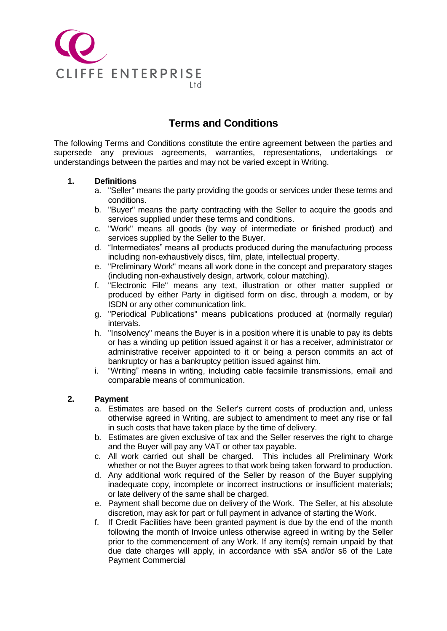

# **Terms and Conditions**

The following Terms and Conditions constitute the entire agreement between the parties and supersede any previous agreements, warranties, representations, undertakings or understandings between the parties and may not be varied except in Writing.

## **1. Definitions**

- a. "Seller" means the party providing the goods or services under these terms and conditions.
- b. "Buyer" means the party contracting with the Seller to acquire the goods and services supplied under these terms and conditions.
- c. "Work" means all goods (by way of intermediate or finished product) and services supplied by the Seller to the Buyer.
- d. "Intermediates" means all products produced during the manufacturing process including non-exhaustively discs, film, plate, intellectual property.
- e. "Preliminary Work" means all work done in the concept and preparatory stages (including non-exhaustively design, artwork, colour matching).
- f. "Electronic File" means any text, illustration or other matter supplied or produced by either Party in digitised form on disc, through a modem, or by ISDN or any other communication link.
- g. "Periodical Publications" means publications produced at (normally regular) intervals.
- h. "Insolvency" means the Buyer is in a position where it is unable to pay its debts or has a winding up petition issued against it or has a receiver, administrator or administrative receiver appointed to it or being a person commits an act of bankruptcy or has a bankruptcy petition issued against him.
- i. "Writing" means in writing, including cable facsimile transmissions, email and comparable means of communication.

## **2. Payment**

- a. Estimates are based on the Seller's current costs of production and, unless otherwise agreed in Writing, are subject to amendment to meet any rise or fall in such costs that have taken place by the time of delivery.
- b. Estimates are given exclusive of tax and the Seller reserves the right to charge and the Buyer will pay any VAT or other tax payable.
- c. All work carried out shall be charged. This includes all Preliminary Work whether or not the Buyer agrees to that work being taken forward to production.
- d. Any additional work required of the Seller by reason of the Buyer supplying inadequate copy, incomplete or incorrect instructions or insufficient materials; or late delivery of the same shall be charged.
- e. Payment shall become due on delivery of the Work. The Seller, at his absolute discretion, may ask for part or full payment in advance of starting the Work.
- f. If Credit Facilities have been granted payment is due by the end of the month following the month of Invoice unless otherwise agreed in writing by the Seller prior to the commencement of any Work. If any item(s) remain unpaid by that due date charges will apply, in accordance with s5A and/or s6 of the Late Payment Commercial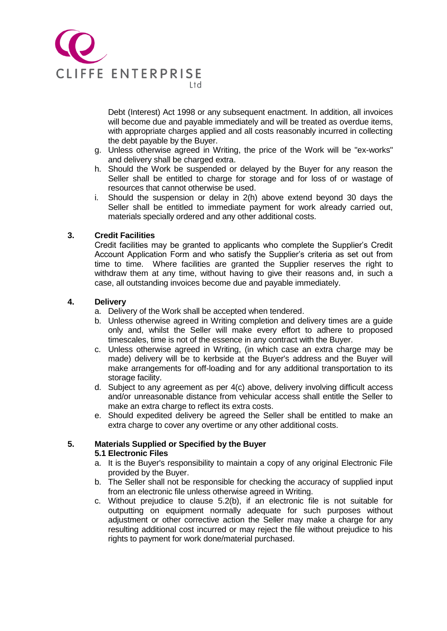

Debt (Interest) Act 1998 or any subsequent enactment. In addition, all invoices will become due and payable immediately and will be treated as overdue items, with appropriate charges applied and all costs reasonably incurred in collecting the debt payable by the Buyer.

- g. Unless otherwise agreed in Writing, the price of the Work will be "ex-works" and delivery shall be charged extra.
- h. Should the Work be suspended or delayed by the Buyer for any reason the Seller shall be entitled to charge for storage and for loss of or wastage of resources that cannot otherwise be used.
- i. Should the suspension or delay in 2(h) above extend beyond 30 days the Seller shall be entitled to immediate payment for work already carried out, materials specially ordered and any other additional costs.

# **3. Credit Facilities**

Credit facilities may be granted to applicants who complete the Supplier's Credit Account Application Form and who satisfy the Supplier's criteria as set out from time to time. Where facilities are granted the Supplier reserves the right to withdraw them at any time, without having to give their reasons and, in such a case, all outstanding invoices become due and payable immediately.

## **4. Delivery**

- a. Delivery of the Work shall be accepted when tendered.
- b. Unless otherwise agreed in Writing completion and delivery times are a guide only and, whilst the Seller will make every effort to adhere to proposed timescales, time is not of the essence in any contract with the Buyer.
- c. Unless otherwise agreed in Writing, (in which case an extra charge may be made) delivery will be to kerbside at the Buyer's address and the Buyer will make arrangements for off-loading and for any additional transportation to its storage facility.
- d. Subject to any agreement as per 4(c) above, delivery involving difficult access and/or unreasonable distance from vehicular access shall entitle the Seller to make an extra charge to reflect its extra costs.
- e. Should expedited delivery be agreed the Seller shall be entitled to make an extra charge to cover any overtime or any other additional costs.

## **5. Materials Supplied or Specified by the Buyer**

#### **5.1 Electronic Files**

- a. It is the Buyer's responsibility to maintain a copy of any original Electronic File provided by the Buyer.
- b. The Seller shall not be responsible for checking the accuracy of supplied input from an electronic file unless otherwise agreed in Writing.
- c. Without prejudice to clause 5.2(b), if an electronic file is not suitable for outputting on equipment normally adequate for such purposes without adjustment or other corrective action the Seller may make a charge for any resulting additional cost incurred or may reject the file without prejudice to his rights to payment for work done/material purchased.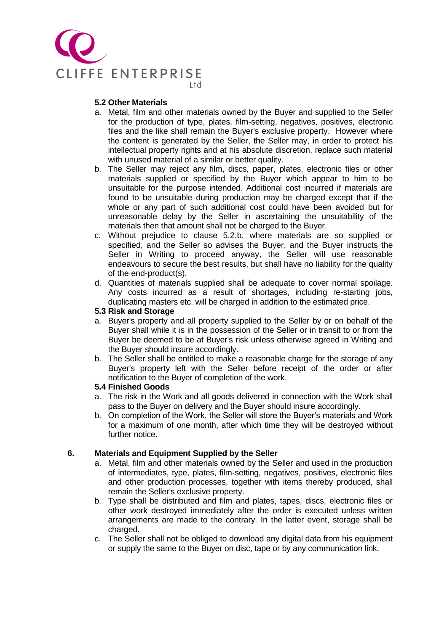

# **5.2 Other Materials**

- a. Metal, film and other materials owned by the Buyer and supplied to the Seller for the production of type, plates, film-setting, negatives, positives, electronic files and the like shall remain the Buyer's exclusive property. However where the content is generated by the Seller, the Seller may, in order to protect his intellectual property rights and at his absolute discretion, replace such material with unused material of a similar or better quality.
- b. The Seller may reject any film, discs, paper, plates, electronic files or other materials supplied or specified by the Buyer which appear to him to be unsuitable for the purpose intended. Additional cost incurred if materials are found to be unsuitable during production may be charged except that if the whole or any part of such additional cost could have been avoided but for unreasonable delay by the Seller in ascertaining the unsuitability of the materials then that amount shall not be charged to the Buyer.
- c. Without prejudice to clause 5.2.b, where materials are so supplied or specified, and the Seller so advises the Buyer, and the Buyer instructs the Seller in Writing to proceed anyway, the Seller will use reasonable endeavours to secure the best results, but shall have no liability for the quality of the end-product(s).
- d. Quantities of materials supplied shall be adequate to cover normal spoilage. Any costs incurred as a result of shortages, including re-starting jobs, duplicating masters etc. will be charged in addition to the estimated price.

#### **5.3 Risk and Storage**

- a. Buyer's property and all property supplied to the Seller by or on behalf of the Buyer shall while it is in the possession of the Seller or in transit to or from the Buyer be deemed to be at Buyer's risk unless otherwise agreed in Writing and the Buyer should insure accordingly.
- b. The Seller shall be entitled to make a reasonable charge for the storage of any Buyer's property left with the Seller before receipt of the order or after notification to the Buyer of completion of the work.

## **5.4 Finished Goods**

- a. The risk in the Work and all goods delivered in connection with the Work shall pass to the Buyer on delivery and the Buyer should insure accordingly.
- b. On completion of the Work, the Seller will store the Buyer's materials and Work for a maximum of one month, after which time they will be destroyed without further notice.

## **6. Materials and Equipment Supplied by the Seller**

- a. Metal, film and other materials owned by the Seller and used in the production of intermediates, type, plates, film-setting, negatives, positives, electronic files and other production processes, together with items thereby produced, shall remain the Seller's exclusive property.
- b. Type shall be distributed and film and plates, tapes, discs, electronic files or other work destroyed immediately after the order is executed unless written arrangements are made to the contrary. In the latter event, storage shall be charged.
- c. The Seller shall not be obliged to download any digital data from his equipment or supply the same to the Buyer on disc, tape or by any communication link.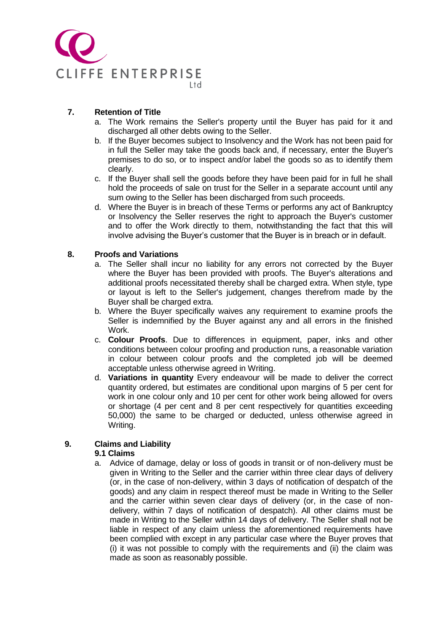

# **7. Retention of Title**

- a. The Work remains the Seller's property until the Buyer has paid for it and discharged all other debts owing to the Seller.
- b. If the Buyer becomes subject to Insolvency and the Work has not been paid for in full the Seller may take the goods back and, if necessary, enter the Buyer's premises to do so, or to inspect and/or label the goods so as to identify them clearly.
- c. If the Buyer shall sell the goods before they have been paid for in full he shall hold the proceeds of sale on trust for the Seller in a separate account until any sum owing to the Seller has been discharged from such proceeds.
- d. Where the Buyer is in breach of these Terms or performs any act of Bankruptcy or Insolvency the Seller reserves the right to approach the Buyer's customer and to offer the Work directly to them, notwithstanding the fact that this will involve advising the Buyer's customer that the Buyer is in breach or in default.

## **8. Proofs and Variations**

- a. The Seller shall incur no liability for any errors not corrected by the Buyer where the Buyer has been provided with proofs. The Buyer's alterations and additional proofs necessitated thereby shall be charged extra. When style, type or layout is left to the Seller's judgement, changes therefrom made by the Buyer shall be charged extra.
- b. Where the Buyer specifically waives any requirement to examine proofs the Seller is indemnified by the Buyer against any and all errors in the finished Work.
- c. **Colour Proofs**. Due to differences in equipment, paper, inks and other conditions between colour proofing and production runs, a reasonable variation in colour between colour proofs and the completed job will be deemed acceptable unless otherwise agreed in Writing.
- d. **Variations in quantity** Every endeavour will be made to deliver the correct quantity ordered, but estimates are conditional upon margins of 5 per cent for work in one colour only and 10 per cent for other work being allowed for overs or shortage (4 per cent and 8 per cent respectively for quantities exceeding 50,000) the same to be charged or deducted, unless otherwise agreed in Writing.

## **9. Claims and Liability**

## **9.1 Claims**

a. Advice of damage, delay or loss of goods in transit or of non-delivery must be given in Writing to the Seller and the carrier within three clear days of delivery (or, in the case of non-delivery, within 3 days of notification of despatch of the goods) and any claim in respect thereof must be made in Writing to the Seller and the carrier within seven clear days of delivery (or, in the case of nondelivery, within 7 days of notification of despatch). All other claims must be made in Writing to the Seller within 14 days of delivery. The Seller shall not be liable in respect of any claim unless the aforementioned requirements have been complied with except in any particular case where the Buyer proves that (i) it was not possible to comply with the requirements and (ii) the claim was made as soon as reasonably possible.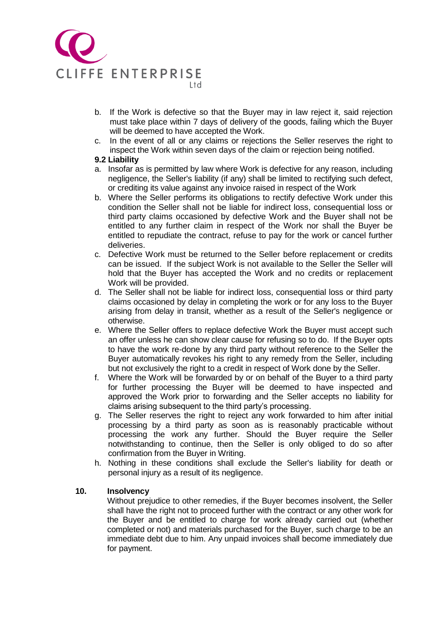

- b. If the Work is defective so that the Buyer may in law reject it, said rejection must take place within 7 days of delivery of the goods, failing which the Buyer will be deemed to have accepted the Work.
- c. In the event of all or any claims or rejections the Seller reserves the right to inspect the Work within seven days of the claim or rejection being notified.

#### **9.2 Liability**

- a. Insofar as is permitted by law where Work is defective for any reason, including negligence, the Seller's liability (if any) shall be limited to rectifying such defect, or crediting its value against any invoice raised in respect of the Work
- b. Where the Seller performs its obligations to rectify defective Work under this condition the Seller shall not be liable for indirect loss, consequential loss or third party claims occasioned by defective Work and the Buyer shall not be entitled to any further claim in respect of the Work nor shall the Buyer be entitled to repudiate the contract, refuse to pay for the work or cancel further deliveries.
- c. Defective Work must be returned to the Seller before replacement or credits can be issued. If the subject Work is not available to the Seller the Seller will hold that the Buyer has accepted the Work and no credits or replacement Work will be provided.
- d. The Seller shall not be liable for indirect loss, consequential loss or third party claims occasioned by delay in completing the work or for any loss to the Buyer arising from delay in transit, whether as a result of the Seller's negligence or otherwise.
- e. Where the Seller offers to replace defective Work the Buyer must accept such an offer unless he can show clear cause for refusing so to do. If the Buyer opts to have the work re-done by any third party without reference to the Seller the Buyer automatically revokes his right to any remedy from the Seller, including but not exclusively the right to a credit in respect of Work done by the Seller.
- f. Where the Work will be forwarded by or on behalf of the Buyer to a third party for further processing the Buyer will be deemed to have inspected and approved the Work prior to forwarding and the Seller accepts no liability for claims arising subsequent to the third party's processing.
- g. The Seller reserves the right to reject any work forwarded to him after initial processing by a third party as soon as is reasonably practicable without processing the work any further. Should the Buyer require the Seller notwithstanding to continue, then the Seller is only obliged to do so after confirmation from the Buyer in Writing.
- h. Nothing in these conditions shall exclude the Seller's liability for death or personal injury as a result of its negligence.

# **10. Insolvency**

Without prejudice to other remedies, if the Buyer becomes insolvent, the Seller shall have the right not to proceed further with the contract or any other work for the Buyer and be entitled to charge for work already carried out (whether completed or not) and materials purchased for the Buyer, such charge to be an immediate debt due to him. Any unpaid invoices shall become immediately due for payment.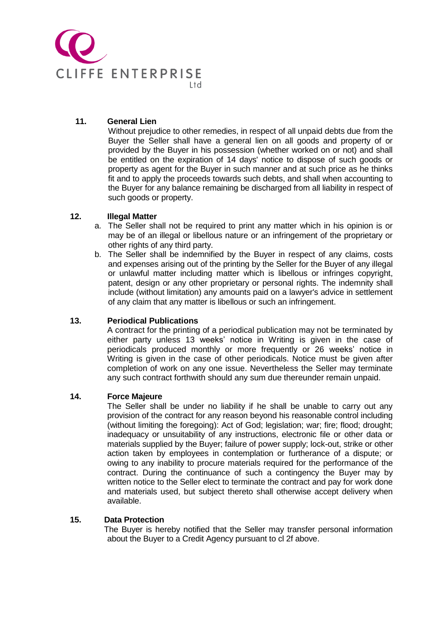

# **11. General Lien**

Without prejudice to other remedies, in respect of all unpaid debts due from the Buyer the Seller shall have a general lien on all goods and property of or provided by the Buyer in his possession (whether worked on or not) and shall be entitled on the expiration of 14 days' notice to dispose of such goods or property as agent for the Buyer in such manner and at such price as he thinks fit and to apply the proceeds towards such debts, and shall when accounting to the Buyer for any balance remaining be discharged from all liability in respect of such goods or property.

# **12. Illegal Matter**

- a. The Seller shall not be required to print any matter which in his opinion is or may be of an illegal or libellous nature or an infringement of the proprietary or other rights of any third party.
- b. The Seller shall be indemnified by the Buyer in respect of any claims, costs and expenses arising out of the printing by the Seller for the Buyer of any illegal or unlawful matter including matter which is libellous or infringes copyright, patent, design or any other proprietary or personal rights. The indemnity shall include (without limitation) any amounts paid on a lawyer's advice in settlement of any claim that any matter is libellous or such an infringement.

## **13. Periodical Publications**

A contract for the printing of a periodical publication may not be terminated by either party unless 13 weeks' notice in Writing is given in the case of periodicals produced monthly or more frequently or 26 weeks' notice in Writing is given in the case of other periodicals. Notice must be given after completion of work on any one issue. Nevertheless the Seller may terminate any such contract forthwith should any sum due thereunder remain unpaid.

## **14. Force Majeure**

The Seller shall be under no liability if he shall be unable to carry out any provision of the contract for any reason beyond his reasonable control including (without limiting the foregoing): Act of God; legislation; war; fire; flood; drought; inadequacy or unsuitability of any instructions, electronic file or other data or materials supplied by the Buyer; failure of power supply; lock-out, strike or other action taken by employees in contemplation or furtherance of a dispute; or owing to any inability to procure materials required for the performance of the contract. During the continuance of such a contingency the Buyer may by written notice to the Seller elect to terminate the contract and pay for work done and materials used, but subject thereto shall otherwise accept delivery when available.

## **15. Data Protection**

 The Buyer is hereby notified that the Seller may transfer personal information about the Buyer to a Credit Agency pursuant to cl 2f above.